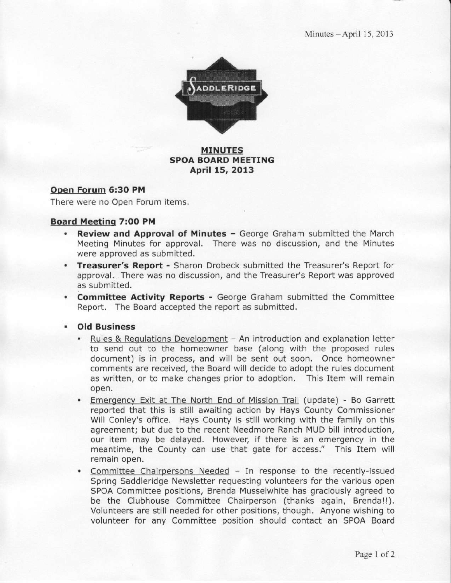Minutes - April 15, 2013



### MINUTES SPOA BOARD MEETING April 15, 2013

#### Open Forum 6:30 PM

There were no Open Forum items.

#### Board Meeting 7:00 PM

- Review and Approval of Minutes George Graham submitted the March Meeting Minutes for approval. There was no discussion, and the Minutes were aooroved as submitted.
- **Treasurer's Report -** Sharon Drobeck submitted the Treasurer's Report for approval. There was no discussion, and the Treasurer's Report was approved as submitted.
- **Committee Activity Reports -** George Graham submitted the Committee Report. The Board accepted the report as submitted.
- . Old Business
	- Rules & Regulations Development An introduction and explanation letter to send out to the homeowner base (along with the proposed rules document) is in process, and will be sent out soon, Once homeowner comments are received, the Board will decide to adopt the rules document as written, or to make changes prior to adoption, This Item will remain open,
	- . Emergencv Exit at The North End of Mission Trail (update) Bo Garrett reported that this is still awaiting action by Hays County Commissioner Will Conley's office. Hays County is still working with the family on this agreement; but due to the recent Needmore Ranch MUD bill introduction, our item may be delayed. However, if there is an emergency in the meantime, the County can use that gate for access." This Item will remain open.
	- Committee Chairpersons Needed In response to the recently-issued Spring Saddleridge Newsletter requesting volunteers for the various open SPOA Committee positions, Brenda Musselwhite has graciously agreed to be the Clubhouse Committee Chairperson (thanks again, Brenda!!). Volunteers are still needed for other positions, though. Anyone wishing to volunteer for any Committee position should contact an SPOA Board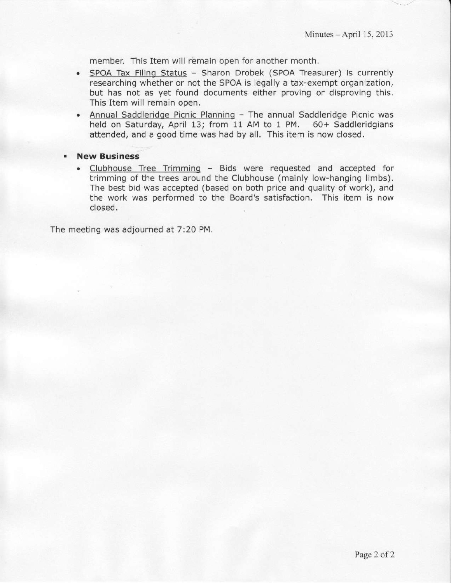member. This Item will remain open for another month,

- SPOA Tax Filing Status Sharon Drobek (SPOA Treasurer) is currently  $\bullet$ researching whether or not the SPOA is legally a tax-exempt organization, but has not as yet found documents either proving or disproving this. This ltem will remain open.
- Annual Saddleridge Picnic Planning The annual Saddleridge Picnic was held on Saturday, April 13; from 11 AM to 1 PM. 60+ Saddleridgians attended, and a good time was had by all. This item is now closed.
- **New Business** 
	- . Clubhouse Tree Trimmino Bids were requested and accepted for trimming of the trees around the Clubhouse (mainly low-hanging limbs). The best bid was accepted (based on both price and quality of work), and the work was performed to the Board's satisfaction. This item is now closed.

The meeting was adjourned at 7:20 PM.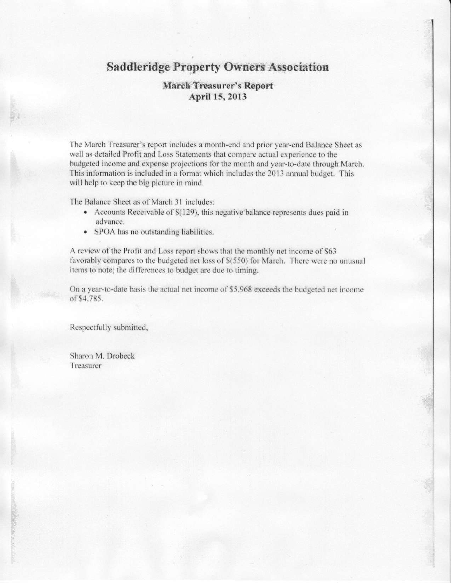# **Saddleridge Property Owners Association**

## **March Treasurer's Report** April 15, 2013

The March Treasurer's report includes a month-end and prior year-end Balance Sheet as well as detailed Profit and Loss Statements that compare actual experience to the budgeted income and expense projections for the month and year-to-date through March. This information is included in a format which includes the 2013 annual budget. This will help to keep the big picture in mind.

The Balance Sheet as of March 31 includes:

- Accounts Receivable of \$(129), this negative balance represents dues paid in advance.
- SPOA has no outstanding liabilities.

A review of the Profit and Loss report shows that the monthly net income of \$63 favorably compares to the budgeted net loss of \$(550) for March. There were no unusual items to note; the differences to budget are due to timing.

On a year-to-date basis the actual net income of \$5,968 exceeds the budgeted net income of \$4,785.

Respectfully submitted,

Sharon M. Drobeck Treasurer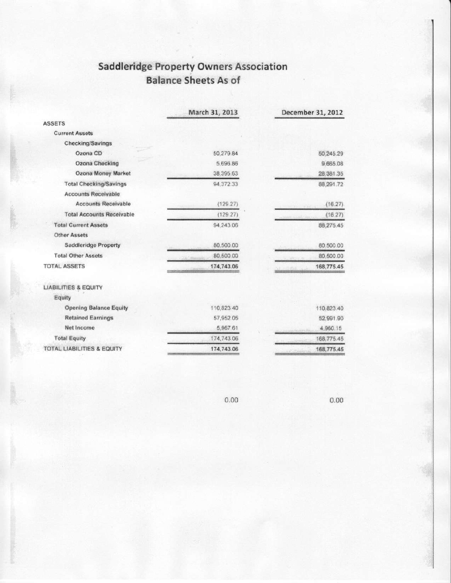# **Saddleridge Property Owners Association Balance Sheets As of**

|                                  | March 31, 2013 | December 31, 2012 |
|----------------------------------|----------------|-------------------|
| <b>ASSETS</b>                    |                |                   |
| <b>Current Assets</b>            |                |                   |
| Checking/Savings                 |                |                   |
| Ozona CD                         | 50,279.84      | 50,245.29         |
| Ozona Checking                   | 5.696.86       | 9,665.08          |
| Ozona Money Market               | 38.395.63      | 28,381.35         |
| <b>Total Checking/Savings</b>    | 94.372.33      | 88,291.72         |
| <b>Accounts Receivable</b>       |                |                   |
| <b>Accounts Receivable</b>       | (129.27)       | (16.27)           |
| <b>Total Accounts Receivable</b> | (129.27)       | (16.27)           |
| <b>Total Current Assets</b>      | 94.243.06      | 88,275.45         |
| <b>Other Assets</b>              |                |                   |
| <b>Saddleridge Property</b>      | 80.500.00      | 80,500.00         |
| <b>Total Other Assets</b>        | 80,500.00      | 80,500.00         |
| <b>TOTAL ASSETS</b>              | 174,743.06     | 168,775.45        |
| <b>LIABILITIES &amp; EQUITY</b>  |                |                   |
| Equity                           |                |                   |
| <b>Opening Balance Equity</b>    | 110,823.40     | 110,823.40        |
| <b>Retained Earnings</b>         | 57,952.05      | 52,991.90         |
| Net Income                       | 5,967 61       | 4,960.15          |
| <b>Total Equity</b>              | 174,743.06     | 168,775.45        |
| TOTAL LIABILITIES & EQUITY       | 174,743.06     | 168,775.45        |

 $0.00$ 

 $0.00$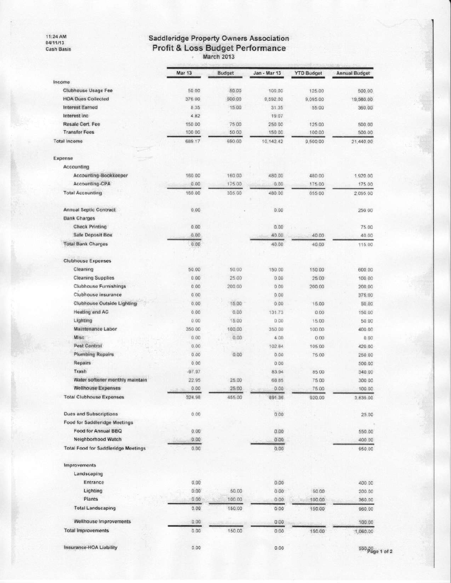11:24 AM<br>04/11/13 Cash Basis

# Saddleridge Property Owners Association<br>Profit & Loss Budget Performance<br>March 2013

|                                            | Mar 13   | <b>Budget</b> | Jan - Mar 13 | <b>YTD Budget</b> | <b>Annual Budget</b> |
|--------------------------------------------|----------|---------------|--------------|-------------------|----------------------|
| ncome                                      |          |               |              |                   |                      |
| Clubhouse Usage Fee                        | 50.00    | 50.00         | 100,00       | 125.00            | 500.00               |
| <b>HOA Dues Collected</b>                  | 376.00   | 500.00        | 9,592.00     | 9,095.00          | 19,580.00            |
| Interest Earned                            | 8.35     | 15.00         | 31.35        | 55.00             | 360.00               |
| Interest inc.                              | 4.82     |               | 19.07        |                   |                      |
| Resale Cert. Fee                           | 150.00   | 75.00         | 250.00       | 125.00            | 500.00               |
| <b>Transfer Fees</b>                       | 100.00   | 50.00         | 150.00       | 100.00            | 500.00               |
| <b>Total Income</b>                        | 689 17   | 690.00        | 10.142.42    | 9,500.00          | 21,440.00            |
| Expense                                    |          |               |              |                   |                      |
| Accounting                                 |          |               |              |                   |                      |
| Accounting-Bookkeeper                      | 160.00   | 160.00        | 480.00       | 480.00            | 1,920.00             |
| Accounting-CPA                             | 0.00     | 175.00        | 0.00         | 175.00            | 175.00               |
| <b>Total Accounting</b>                    | 160.00   | 335.00        | 480.00       | 655.00            | 2.095.00             |
| <b>Annual Septic Contract</b>              | 0.00     |               | 0.00         |                   | 250.00               |
| <b>Bank Charges</b>                        |          |               |              |                   |                      |
| <b>Check Printing</b>                      | 0.00     |               | 0.00         |                   | 75.00                |
| Safe Deposit Box                           | 0.00     |               | 40.00        | 40.00             | 40.00                |
| <b>Total Bank Charges</b>                  | 0.00     |               | 40.00        | 40.00             | 115.00               |
| <b>Clubhouse Expenses</b>                  |          |               |              |                   |                      |
|                                            |          |               |              |                   |                      |
| Cleaning                                   | 50.00    | 50.00         | 150.00       | 150.00            | 600.00               |
| <b>Cleaning Supplies</b>                   | 0.00     | 25.00         | 0.00         | 25.00             | 100.00               |
| <b>Clubhouse Furnishings</b>               | 0.00     | 200.00        | 0.00         | 200.00            | 200.00               |
| Clubhouse insurance                        | 000      |               | 0.00         |                   | 375.00               |
| Clubhouse Outside Lighting                 | 0.00     | 15.00         | 0.00         | 15.00             | 50.00                |
| <b>Heating and AC</b>                      | 0.00     | 0.00          | 131.73       | 0.00              | 150.00               |
| Lighting                                   | 0.00     | 15.00         | 0.00         | 15.00             | 50.00                |
| Maintenance Labor                          | 350.00   | 100.00        | 350.00       | 100.00            | 400.00               |
| Misc                                       | 0.00     | 0.00          | 4.00         | 0.00              | 0.00                 |
| Pest Control                               | 0.00     |               | 102.84       | 105.00            | 420.00               |
| <b>Plumbing Repairs</b>                    | 0.00     | 0.00          | 0.00         | 75.00             | 250.00               |
| <b>Repairs</b>                             | 000      |               | 0.00         |                   | 500.00               |
| Trash                                      | $-97.97$ |               | 83.94        | 85.00             | 340.00               |
| Water softener monthly maintain            | 22.95    | 25.00         | 68.85        | 75.00             | 300.00               |
| Wellhouse Expenses                         | 0.00     | 25.00         | 0.00         | 75.00             | 100.00               |
| <b>Total Clubhouse Expenses</b>            | 324.98   | 455.00        | 891.36       | 920.00            | 3.835.00             |
| <b>Dues and Subscriptions</b>              | 0.00     |               | 0.00.        |                   | 25.00                |
| Food for Saddleridge Meetings              |          |               |              |                   |                      |
| Food for Annual BBQ                        | 0.00     |               | 0.00         |                   | 550.00               |
| Neighborhood Watch                         | 0.00     |               | 0.00         |                   | 400.00               |
| <b>Total Food for Saddleridge Meetings</b> | 0.00.    |               | 0.00         |                   | 950.00               |
| <b>Improvements</b>                        |          |               |              |                   |                      |
| Landscaping                                |          |               |              |                   |                      |
| Entrance                                   | 0.00     |               | $0.00 -$     |                   | 400.00               |
| Lighting                                   | 0.00     | 50.00         | 0.00         | 50.00             | 200.00               |
| Plants                                     | 0.00     | 100.00        | 0.00         | 100.00            | 360.00               |
| <b>Total Landscaping</b>                   | 0.00     | 150.00        | 0.00         | 150.00            | 960.00               |
| Wellhouse Improvements                     | 0.00     |               | 0.00         |                   | 100.00               |
| <b>Total improvements</b>                  | 0.00     | 150.00        | 0.00         | 150.00            | 1,060.00             |
| Insurance-HOA Liability                    | 0.00     |               | 0.00         |                   | 550.QO               |

 $550<sub>pgq</sub>$  of 2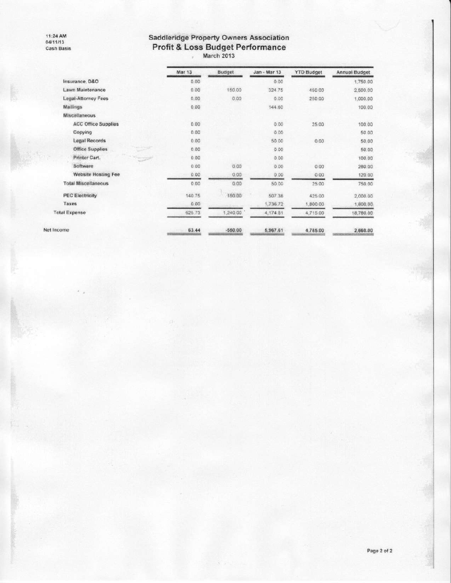11:24 AM<br>04/11/13<br>Cash Basis

# Saddleridge Property Owners Association<br>Profit & Loss Budget Performance<br>March 2013

|            |                            | Mar 13 | Budget    | Jan - Mar 13 | <b>YTD Budget</b> | <b>Annual Budget</b> |
|------------|----------------------------|--------|-----------|--------------|-------------------|----------------------|
|            | Insurance, D&O             | 0.00   |           | 0.00         |                   | 1,750.00             |
|            | Lawn Maintenance           | 0.00   | 150.00    | 324.75       | 450.00            | 2,500.00             |
|            | Legal-Attorney Fees        | 0.00   | 0.00      | 0.00         | 250.00            | 1,000.00             |
|            | Mallings                   | 0.00   |           | 144.60       |                   | 100.00               |
|            | <b>Miscellaneous</b>       |        |           |              |                   |                      |
|            | <b>ACC Office Supplies</b> | 0.00   |           | 0.00         | 25.00             | 100.00               |
|            | Copying                    | 0.00   |           | 0.00         |                   | 50.00                |
|            | Legal Records              | 0.00   |           | 50.00        | 0.00              | 50.00                |
|            | Office Supplies            | 0.00   |           | 0.00         |                   | 50.00                |
|            | Printer Cart.              | 0.00   |           | 0.00         |                   | 100.00               |
|            | Software                   | 0.00   | 0.00      | 0.00         | 0.00              | 280.00               |
|            | Website Hosting Fee        | 0.00   | 0.00      | 0.00         | 0.00              | 120.00               |
|            | <b>Total Miscellaneous</b> | 0.00   | 0.00      | 50.00        | 25.00             | 750.00               |
|            | <b>PEC Electricity</b>     | 140.75 | 150.00    | 507.38       | 425.00            | 2,000.00             |
|            | Taxes                      | 0.00   |           | 1,736.72     | 1,800.00          | 1,800.00             |
|            | <b>Total Expense</b>       | 625.73 | 1,240.00  | 4,174.81     | 4,715.00          | 18,780.00            |
| Net Income |                            | 63.44  | $-550.00$ | 5,967.61     | 4,785.00          | 2,660.00             |